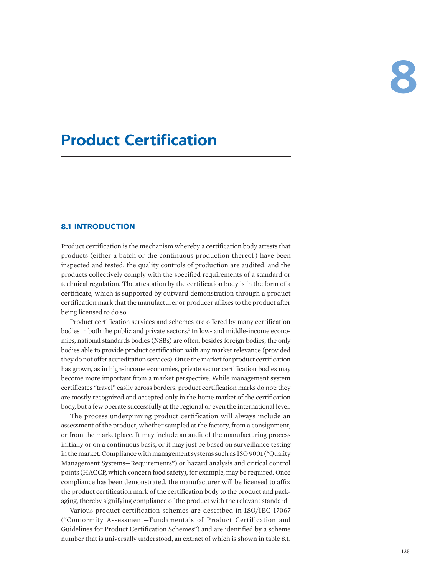# **Product Certification**

# **8.1 INTRODUCTION**

Product certification is the mechanism whereby a certification body attests that products (either a batch or the continuous production thereof) have been inspected and tested; the quality controls of production are audited; and the products collectively comply with the specified requirements of a standard or technical regulation. The attestation by the certification body is in the form of a certificate, which is supported by outward demonstration through a product certification mark that the manufacturer or producer affixes to the product after being licensed to do so.

<span id="page-0-0"></span>Product certification services and schemes are offered by many certification bodies in both the public and private sectors.<sup>1</sup> In low- and middle-income economies, national standards bodies (NSBs) are often, besides foreign bodies, the only bodies able to provide product certification with any market relevance (provided they do not offer accreditation services). Once the market for product certification has grown, as in high-income economies, private sector certification bodies may become more important from a market perspective. While management system certificates "travel" easily across borders, product certification marks do not: they are mostly recognized and accepted only in the home market of the certification body, but a few operate successfully at the regional or even the international level.

The process underpinning product certification will always include an assessment of the product, whether sampled at the factory, from a consignment, or from the marketplace. It may include an audit of the manufacturing process initially or on a continuous basis, or it may just be based on surveillance testing in the market. Compliance with management systems such as ISO 9001 ("Quality Management Systems—Requirements") or hazard analysis and critical control points (HACCP, which concern food safety), for example, may be required. Once compliance has been demonstrated, the manufacturer will be licensed to affix the product certification mark of the certification body to the product and packaging, thereby signifying compliance of the product with the relevant standard.

Various product certification schemes are described in ISO/IEC 17067 ("Conformity Assessment—Fundamentals of Product Certification and Guidelines for Product Certification Schemes") and are identified by a scheme number that is universally understood, an extract of which is shown in table 8.1.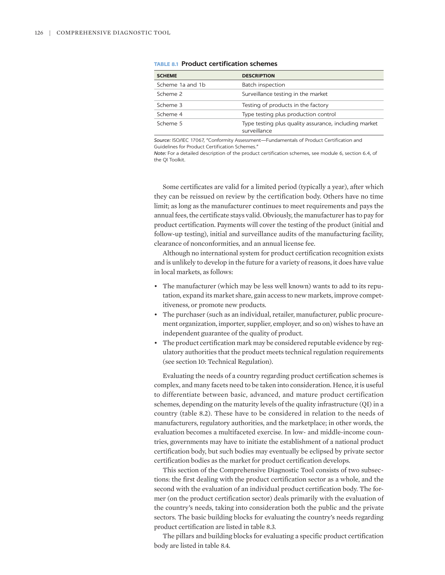| <b>SCHEME</b>    | <b>DESCRIPTION</b>                                                    |
|------------------|-----------------------------------------------------------------------|
| Scheme 1a and 1b | Batch inspection                                                      |
| Scheme 2         | Surveillance testing in the market                                    |
| Scheme 3         | Testing of products in the factory                                    |
| Scheme 4         | Type testing plus production control                                  |
| Scheme 5         | Type testing plus quality assurance, including market<br>surveillance |

# **TABLE 8.1 Product certification schemes**

*Source:* ISO/IEC 17067, "Conformity Assessment—Fundamentals of Product Certification and Guidelines for Product Certification Schemes."

*Note:* For a detailed description of the product certification schemes, see module 6, section 6.4, of the QI Toolkit.

Some certificates are valid for a limited period (typically a year), after which they can be reissued on review by the certification body. Others have no time limit; as long as the manufacturer continues to meet requirements and pays the annual fees, the certificate stays valid. Obviously, the manufacturer has to pay for product certification. Payments will cover the testing of the product (initial and follow-up testing), initial and surveillance audits of the manufacturing facility, clearance of nonconformities, and an annual license fee.

Although no international system for product certification recognition exists and is unlikely to develop in the future for a variety of reasons, it does have value in local markets, as follows:

- The manufacturer (which may be less well known) wants to add to its reputation, expand its market share, gain access to new markets, improve competitiveness, or promote new products.
- The purchaser (such as an individual, retailer, manufacturer, public procurement organization, importer, supplier, employer, and so on) wishes to have an independent guarantee of the quality of product.
- The product certification mark may be considered reputable evidence by regulatory authorities that the product meets technical regulation requirements (see section 10: Technical Regulation).

Evaluating the needs of a country regarding product certification schemes is complex, and many facets need to be taken into consideration. Hence, it is useful to differentiate between basic, advanced, and mature product certification schemes, depending on the maturity levels of the quality infrastructure (QI) in a country (table 8.2). These have to be considered in relation to the needs of manufacturers, regulatory authorities, and the marketplace; in other words, the evaluation becomes a multifaceted exercise. In low- and middle-income countries, governments may have to initiate the establishment of a national product certification body, but such bodies may eventually be eclipsed by private sector certification bodies as the market for product certification develops.

This section of the Comprehensive Diagnostic Tool consists of two subsections: the first dealing with the product certification sector as a whole, and the second with the evaluation of an individual product certification body. The former (on the product certification sector) deals primarily with the evaluation of the country's needs, taking into consideration both the public and the private sectors. The basic building blocks for evaluating the country's needs regarding product certification are listed in table 8.3.

The pillars and building blocks for evaluating a specific product certification body are listed in table 8.4.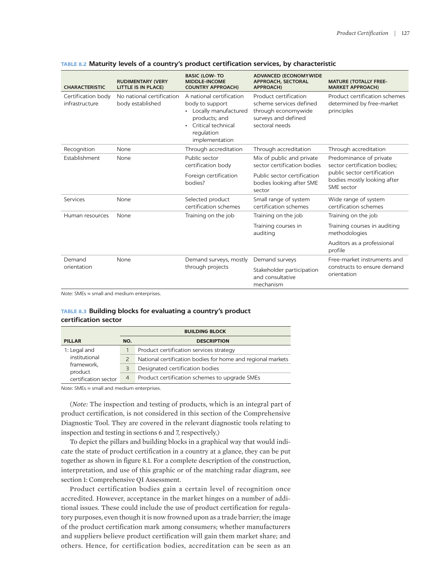| <b>CHARACTERISTIC</b>                | <b>RUDIMENTARY (VERY</b><br><b>LITTLE IS IN PLACE)</b>                          | <b>BASIC (LOW-TO</b><br><b>MIDDLE-INCOME</b><br><b>COUNTRY APPROACH)</b>                                                                       | <b>ADVANCED (ECONOMYWIDE</b><br><b>APPROACH, SECTORAL</b><br><b>APPROACH)</b>                                    | <b>MATURE (TOTALLY FREE-</b><br><b>MARKET APPROACH)</b>                   |
|--------------------------------------|---------------------------------------------------------------------------------|------------------------------------------------------------------------------------------------------------------------------------------------|------------------------------------------------------------------------------------------------------------------|---------------------------------------------------------------------------|
| Certification body<br>infrastructure | No national certification<br>body established                                   | A national certification<br>body to support<br>• Locally manufactured<br>products; and<br>• Critical technical<br>regulation<br>implementation | Product certification<br>scheme services defined<br>through economywide<br>surveys and defined<br>sectoral needs | Product certification schemes<br>determined by free-market<br>principles  |
| Recognition                          | None                                                                            | Through accreditation                                                                                                                          | Through accreditation                                                                                            | Through accreditation                                                     |
| Establishment                        | Public sector<br>None<br>certification body<br>Foreign certification<br>bodies? |                                                                                                                                                | Mix of public and private<br>sector certification bodies                                                         | Predominance of private<br>sector certification bodies:                   |
|                                      |                                                                                 | Public sector certification<br>bodies looking after SME<br>sector                                                                              | public sector certification<br>bodies mostly looking after<br>SME sector                                         |                                                                           |
| Services                             | None                                                                            | Selected product<br>certification schemes                                                                                                      | Small range of system<br>certification schemes                                                                   | Wide range of system<br>certification schemes                             |
| Human resources                      | None                                                                            | Training on the job                                                                                                                            | Training on the job                                                                                              | Training on the job                                                       |
|                                      |                                                                                 |                                                                                                                                                | Training courses in<br>auditing                                                                                  | Training courses in auditing<br>methodologies                             |
|                                      |                                                                                 |                                                                                                                                                |                                                                                                                  | Auditors as a professional<br>profile                                     |
| Demand<br>orientation                | None                                                                            | Demand surveys, mostly<br>through projects                                                                                                     | Demand surveys                                                                                                   | Free-market instruments and<br>constructs to ensure demand<br>orientation |
|                                      |                                                                                 |                                                                                                                                                | Stakeholder participation<br>and consultative<br>mechanism                                                       |                                                                           |

## **TABLE 8.2 Maturity levels of a country's product certification services, by characteristic**

*Note:* SMEs = small and medium enterprises.

# **TABLE 8.3 Building blocks for evaluating a country's product certification sector**

|                                                                                | <b>BUILDING BLOCK</b> |                                                             |
|--------------------------------------------------------------------------------|-----------------------|-------------------------------------------------------------|
| <b>PILLAR</b>                                                                  | NO.                   | <b>DESCRIPTION</b>                                          |
| 1: Legal and<br>institutional<br>framework,<br>product<br>certification sector |                       | Product certification services strategy                     |
|                                                                                |                       | National certification bodies for home and regional markets |
|                                                                                |                       | Designated certification bodies                             |
|                                                                                | $\overline{4}$        | Product certification schemes to upgrade SMEs               |

*Note:* SMEs = small and medium enterprises.

(*Note:* The inspection and testing of products, which is an integral part of product certification, is not considered in this section of the Comprehensive Diagnostic Tool. They are covered in the relevant diagnostic tools relating to inspection and testing in sections 6 and 7, respectively.)

To depict the pillars and building blocks in a graphical way that would indicate the state of product certification in a country at a glance, they can be put together as shown in figure 8.1. For a complete description of the construction, interpretation, and use of this graphic or of the matching radar diagram, see section 1: Comprehensive QI Assessment.

Product certification bodies gain a certain level of recognition once accredited. However, acceptance in the market hinges on a number of additional issues. These could include the use of product certification for regulatory purposes, even though it is now frowned upon as a trade barrier; the image of the product certification mark among consumers; whether manufacturers and suppliers believe product certification will gain them market share; and others. Hence, for certification bodies, accreditation can be seen as an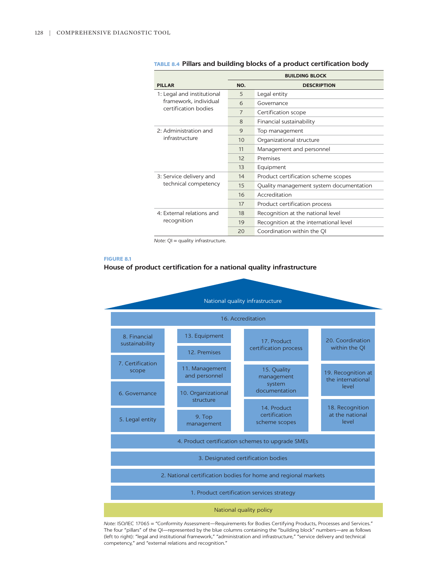|                                                     | <b>BUILDING BLOCK</b> |                                         |
|-----------------------------------------------------|-----------------------|-----------------------------------------|
| <b>PILLAR</b>                                       | NO.                   | <b>DESCRIPTION</b>                      |
| 1: Legal and institutional<br>framework, individual | 5                     | Legal entity                            |
|                                                     | 6                     | Governance                              |
| certification bodies                                | $\overline{7}$        | Certification scope                     |
|                                                     | $\mathsf{R}$          | Financial sustainability                |
| 2: Administration and<br>infrastructure             | $\mathsf{Q}$          | Top management                          |
|                                                     | 10                    | Organizational structure                |
|                                                     | 11                    | Management and personnel                |
|                                                     | 12                    | Premises                                |
|                                                     | 13                    | Equipment                               |
| 3: Service delivery and<br>technical competency     | 14                    | Product certification scheme scopes     |
|                                                     | 15                    | Quality management system documentation |
|                                                     | 16                    | Accreditation                           |
|                                                     | 17                    | Product certification process           |
| 4: External relations and<br>recognition            | 18                    | Recognition at the national level       |
|                                                     | 19                    | Recognition at the international level  |
|                                                     | 20                    | Coordination within the OI              |

# **TABLE 8.4 Pillars and building blocks of a product certification body**

*Note:* QI = quality infrastructure.

#### **FIGURE 8.1**

# **House of product certification for a national quality infrastructure**



*Note:* ISO/IEC 17065 = "Conformity Assessment—Requirements for Bodies Certifying Products, Processes and Services." The four "pillars" of the QI—represented by the blue columns containing the "building block" numbers—are as follows (left to right): "legal and institutional framework," "administration and infrastructure," "service delivery and technical competency," and "external relations and recognition."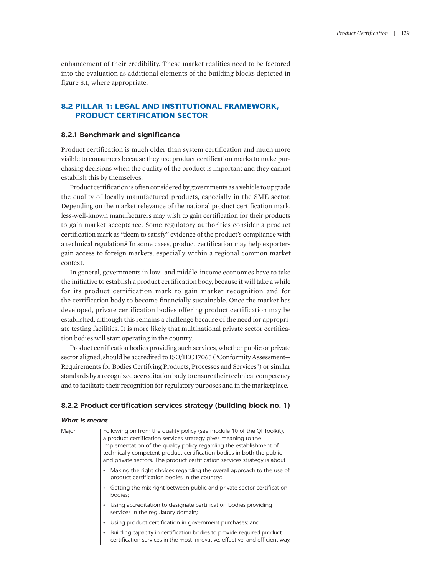enhancement of their credibility. These market realities need to be factored into the evaluation as additional elements of the building blocks depicted in figure 8.1, where appropriate.

# **8.2 PILLAR 1: LEGAL AND INSTITUTIONAL FRAMEWORK, PRODUCT CERTIFICATION SECTOR**

# **8.2.1 Benchmark and significance**

Product certification is much older than system certification and much more visible to consumers because they use product certification marks to make purchasing decisions when the quality of the product is important and they cannot establish this by themselves.

Product certification is often considered by governments as a vehicle to upgrade the quality of locally manufactured products, especially in the SME sector. Depending on the market relevance of the national product certification mark, less-well-known manufacturers may wish to gain certification for their products to gain market acceptance. Some regulatory authorities consider a product certification mark as "deem to satisfy" evidence of the product's compliance with a technical regulation.<sup>[2](#page-20-1)</sup> In some cases, product certification may help exporters gain access to foreign markets, especially within a regional common market context.

<span id="page-4-0"></span>In general, governments in low- and middle-income economies have to take the initiative to establish a product certification body, because it will take a while for its product certification mark to gain market recognition and for the certification body to become financially sustainable. Once the market has developed, private certification bodies offering product certification may be established, although this remains a challenge because of the need for appropriate testing facilities. It is more likely that multinational private sector certification bodies will start operating in the country.

Product certification bodies providing such services, whether public or private sector aligned, should be accredited to ISO/IEC 17065 ("Conformity Assessment— Requirements for Bodies Certifying Products, Processes and Services") or similar standards by a recognized accreditation body to ensure their technical competency and to facilitate their recognition for regulatory purposes and in the marketplace.

# **8.2.2 Product certification services strategy (building block no. 1)**

# *What is meant*

| Major | Following on from the quality policy (see module 10 of the QI Toolkit),   |
|-------|---------------------------------------------------------------------------|
|       | a product certification services strategy gives meaning to the            |
|       | implementation of the quality policy regarding the establishment of       |
|       | technically competent product certification bodies in both the public     |
|       | and private sectors. The product certification services strategy is about |

- Making the right choices regarding the overall approach to the use of product certification bodies in the country;
- Getting the mix right between public and private sector certification bodies;
- Using accreditation to designate certification bodies providing services in the regulatory domain;
- Using product certification in government purchases; and
- Building capacity in certification bodies to provide required product certification services in the most innovative, effective, and efficient way.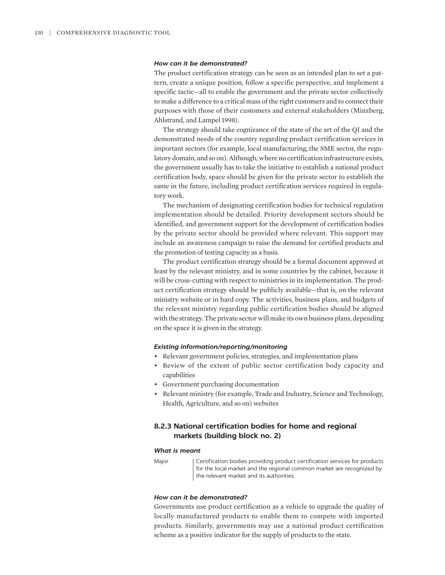# *How can it be demonstrated?*

The product certification strategy can be seen as an intended plan to set a pattern, create a unique position, follow a specific perspective, and implement a specific tactic—all to enable the government and the private sector collectively to make a difference to a critical mass of the right customers and to connect their purposes with those of their customers and external stakeholders (Minzberg, Ahlstrand, and Lampel 1998).

The strategy should take cognizance of the state of the art of the QI and the demonstrated needs of the country regarding product certification services in important sectors (for example, local manufacturing, the SME sector, the regulatory domain, and so on). Although, where no certification infrastructure exists, the government usually has to take the initiative to establish a national product certification body, space should be given for the private sector to establish the same in the future, including product certification services required in regulatory work.

The mechanism of designating certification bodies for technical regulation implementation should be detailed. Priority development sectors should be identified, and government support for the development of certification bodies by the private sector should be provided where relevant. This support may include an awareness campaign to raise the demand for certified products and the promotion of testing capacity as a basis.

The product certification strategy should be a formal document approved at least by the relevant ministry, and in some countries by the cabinet, because it will be cross-cutting with respect to ministries in its implementation. The product certification strategy should be publicly available—that is, on the relevant ministry website or in hard copy. The activities, business plans, and budgets of the relevant ministry regarding public certification bodies should be aligned with the strategy. The private sector will make its own business plans, depending on the space it is given in the strategy.

# *Existing information/reporting/monitoring*

- Relevant government policies, strategies, and implementation plans
- Review of the extent of public sector certification body capacity and capabilities
- Government purchasing documentation
- Relevant ministry (for example, Trade and Industry, Science and Technology, Health, Agriculture, and so on) websites

# **8.2.3 National certification bodies for home and regional markets (building block no. 2)**

#### *What is meant*

Major **Certification bodies providing product certification services for products** for the local market and the regional common market are recognized by the relevant market and its authorities.

# *How can it be demonstrated?*

Governments use product certification as a vehicle to upgrade the quality of locally manufactured products to enable them to compete with imported products. Similarly, governments may use a national product certification scheme as a positive indicator for the supply of products to the state.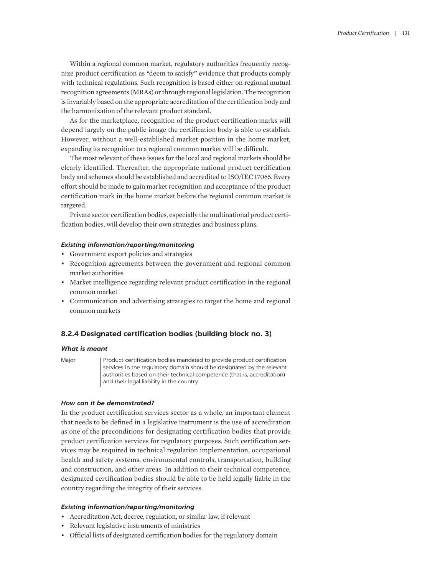Within a regional common market, regulatory authorities frequently recognize product certification as "deem to satisfy" evidence that products comply with technical regulations. Such recognition is based either on regional mutual recognition agreements (MRAs) or through regional legislation. The recognition is invariably based on the appropriate accreditation of the certification body and the harmonization of the relevant product standard.

As for the marketplace, recognition of the product certification marks will depend largely on the public image the certification body is able to establish. However, without a well-established market position in the home market, expanding its recognition to a regional common market will be difficult.

The most relevant of these issues for the local and regional markets should be clearly identified. Thereafter, the appropriate national product certification body and schemes should be established and accredited to ISO/IEC 17065. Every effort should be made to gain market recognition and acceptance of the product certification mark in the home market before the regional common market is targeted.

Private sector certification bodies, especially the multinational product certification bodies, will develop their own strategies and business plans.

#### *Existing information/reporting/monitoring*

- Government export policies and strategies
- Recognition agreements between the government and regional common market authorities
- Market intelligence regarding relevant product certification in the regional common market
- Communication and advertising strategies to target the home and regional common markets

# **8.2.4 Designated certification bodies (building block no. 3)**

#### *What is meant*

Major | Product certification bodies mandated to provide product certification services in the regulatory domain should be designated by the relevant authorities based on their technical competence (that is, accreditation) and their legal liability in the country.

# *How can it be demonstrated?*

In the product certification services sector as a whole, an important element that needs to be defined in a legislative instrument is the use of accreditation as one of the preconditions for designating certification bodies that provide product certification services for regulatory purposes. Such certification services may be required in technical regulation implementation, occupational health and safety systems, environmental controls, transportation, building and construction, and other areas. In addition to their technical competence, designated certification bodies should be able to be held legally liable in the country regarding the integrity of their services.

# *Existing information/reporting/monitoring*

- Accreditation Act, decree, regulation, or similar law, if relevant
- Relevant legislative instruments of ministries
- Official lists of designated certification bodies for the regulatory domain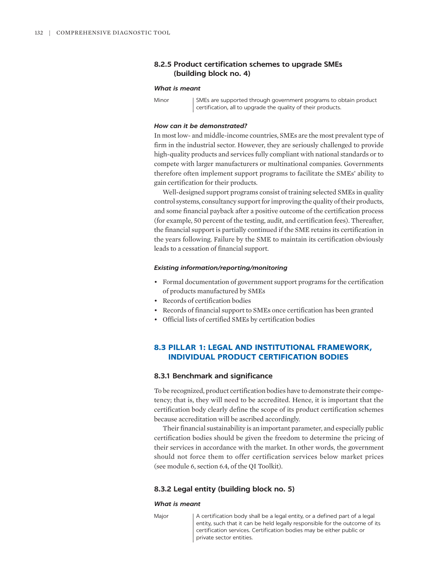# **8.2.5 Product certification schemes to upgrade SMEs (building block no. 4)**

#### *What is meant*

Minor | SMEs are supported through government programs to obtain product certification, all to upgrade the quality of their products.

#### *How can it be demonstrated?*

In most low- and middle-income countries, SMEs are the most prevalent type of firm in the industrial sector. However, they are seriously challenged to provide high-quality products and services fully compliant with national standards or to compete with larger manufacturers or multinational companies. Governments therefore often implement support programs to facilitate the SMEs' ability to gain certification for their products.

Well-designed support programs consist of training selected SMEs in quality control systems, consultancy support for improving the quality of their products, and some financial payback after a positive outcome of the certification process (for example, 50 percent of the testing, audit, and certification fees). Thereafter, the financial support is partially continued if the SME retains its certification in the years following. Failure by the SME to maintain its certification obviously leads to a cessation of financial support.

#### *Existing information/reporting/monitoring*

- Formal documentation of government support programs for the certification of products manufactured by SMEs
- Records of certification bodies
- Records of financial support to SMEs once certification has been granted
- Official lists of certified SMEs by certification bodies

# **8.3 PILLAR 1: LEGAL AND INSTITUTIONAL FRAMEWORK, INDIVIDUAL PRODUCT CERTIFICATION BODIES**

# **8.3.1 Benchmark and significance**

To be recognized, product certification bodies have to demonstrate their competency; that is, they will need to be accredited. Hence, it is important that the certification body clearly define the scope of its product certification schemes because accreditation will be ascribed accordingly.

Their financial sustainability is an important parameter, and especially public certification bodies should be given the freedom to determine the pricing of their services in accordance with the market. In other words, the government should not force them to offer certification services below market prices (see module 6, section 6.4, of the QI Toolkit).

# **8.3.2 Legal entity (building block no. 5)**

#### *What is meant*

Major | A certification body shall be a legal entity, or a defined part of a legal entity, such that it can be held legally responsible for the outcome of its certification services. Certification bodies may be either public or private sector entities.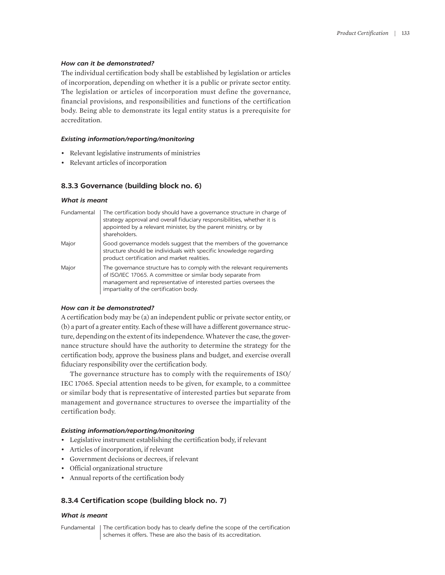# *How can it be demonstrated?*

The individual certification body shall be established by legislation or articles of incorporation, depending on whether it is a public or private sector entity. The legislation or articles of incorporation must define the governance, financial provisions, and responsibilities and functions of the certification body. Being able to demonstrate its legal entity status is a prerequisite for accreditation.

# *Existing information/reporting/monitoring*

- Relevant legislative instruments of ministries
- Relevant articles of incorporation

# **8.3.3 Governance (building block no. 6)**

# *What is meant*

| Fundamental | The certification body should have a governance structure in charge of<br>strategy approval and overall fiduciary responsibilities, whether it is<br>appointed by a relevant minister, by the parent ministry, or by<br>shareholders.               |
|-------------|-----------------------------------------------------------------------------------------------------------------------------------------------------------------------------------------------------------------------------------------------------|
| Major       | Good governance models suggest that the members of the governance<br>structure should be individuals with specific knowledge regarding<br>product certification and market realities.                                                               |
| Major       | The governance structure has to comply with the relevant requirements<br>of ISO/IEC 17065. A committee or similar body separate from<br>management and representative of interested parties oversees the<br>impartiality of the certification body. |

# *How can it be demonstrated?*

A certification body may be (a) an independent public or private sector entity, or (b) a part of a greater entity. Each of these will have a different governance structure, depending on the extent of its independence. Whatever the case, the governance structure should have the authority to determine the strategy for the certification body, approve the business plans and budget, and exercise overall fiduciary responsibility over the certification body.

The governance structure has to comply with the requirements of ISO/ IEC 17065. Special attention needs to be given, for example, to a committee or similar body that is representative of interested parties but separate from management and governance structures to oversee the impartiality of the certification body.

# *Existing information/reporting/monitoring*

- Legislative instrument establishing the certification body, if relevant
- Articles of incorporation, if relevant
- Government decisions or decrees, if relevant
- Official organizational structure
- Annual reports of the certification body

# **8.3.4 Certification scope (building block no. 7)**

# *What is meant*

Fundamental The certification body has to clearly define the scope of the certification schemes it offers. These are also the basis of its accreditation.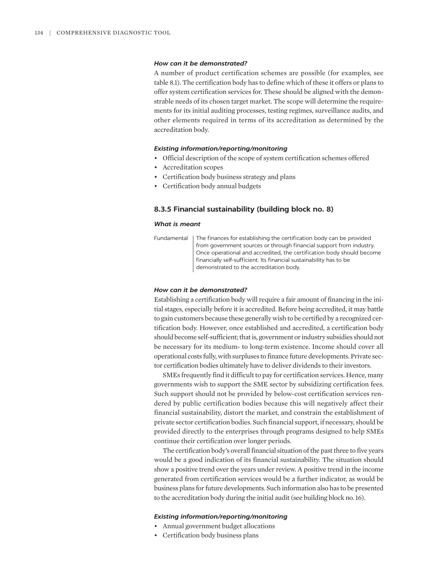# *How can it be demonstrated?*

A number of product certification schemes are possible (for examples, see table 8.1). The certification body has to define which of these it offers or plans to offer system certification services for. These should be aligned with the demonstrable needs of its chosen target market. The scope will determine the requirements for its initial auditing processes, testing regimes, surveillance audits, and other elements required in terms of its accreditation as determined by the accreditation body.

#### *Existing information/reporting/monitoring*

- Official description of the scope of system certification schemes offered
- Accreditation scopes
- Certification body business strategy and plans
- Certification body annual budgets

# **8.3.5 Financial sustainability (building block no. 8)**

#### *What is meant*

| Fundamental   The finances for establishing the certification body can be provided |
|------------------------------------------------------------------------------------|
| from government sources or through financial support from industry.                |
| Once operational and accredited, the certification body should become              |
| financially self-sufficient. Its financial sustainability has to be                |
| demonstrated to the accreditation body.                                            |

#### *How can it be demonstrated?*

Establishing a certification body will require a fair amount of financing in the initial stages, especially before it is accredited. Before being accredited, it may battle to gain customers because these generally wish to be certified by a recognized certification body. However, once established and accredited, a certification body should become self-sufficient; that is, government or industry subsidies should not be necessary for its medium- to long-term existence. Income should cover all operational costs fully, with surpluses to finance future developments. Private sector certification bodies ultimately have to deliver dividends to their investors.

SMEs frequently find it difficult to pay for certification services. Hence, many governments wish to support the SME sector by subsidizing certification fees. Such support should not be provided by below-cost certification services rendered by public certification bodies because this will negatively affect their financial sustainability, distort the market, and constrain the establishment of private sector certification bodies. Such financial support, if necessary, should be provided directly to the enterprises through programs designed to help SMEs continue their certification over longer periods.

The certification body's overall financial situation of the past three to five years would be a good indication of its financial sustainability. The situation should show a positive trend over the years under review. A positive trend in the income generated from certification services would be a further indicator, as would be business plans for future developments. Such information also has to be presented to the accreditation body during the initial audit (see building block no. 16).

#### *Existing information/reporting/monitoring*

- Annual government budget allocations
- Certification body business plans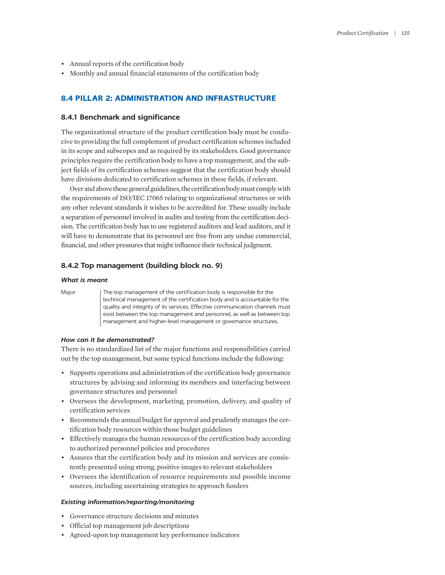- Annual reports of the certification body
- Monthly and annual financial statements of the certification body

# **8.4 PILLAR 2: ADMINISTRATION AND INFRASTRUCTURE**

# **8.4.1 Benchmark and significance**

The organizational structure of the product certification body must be conducive to providing the full complement of product certification schemes included in its scope and subscopes and as required by its stakeholders. Good governance principles require the certification body to have a top management, and the subject fields of its certification schemes suggest that the certification body should have divisions dedicated to certification schemes in these fields, if relevant.

Over and above these general guidelines, the certification body must comply with the requirements of ISO/IEC 17065 relating to organizational structures or with any other relevant standards it wishes to be accredited for. These usually include a separation of personnel involved in audits and testing from the certification decision. The certification body has to use registered auditors and lead auditors, and it will have to demonstrate that its personnel are free from any undue commercial, financial, and other pressures that might influence their technical judgment.

# **8.4.2 Top management (building block no. 9)**

# *What is meant*

Major | The top management of the certification body is responsible for the technical management of the certification body and is accountable for the quality and integrity of its services. Effective communication channels must exist between the top management and personnel, as well as between top management and higher-level management or governance structures.

# *How can it be demonstrated?*

There is no standardized list of the major functions and responsibilities carried out by the top management, but some typical functions include the following:

- Supports operations and administration of the certification body governance structures by advising and informing its members and interfacing between governance structures and personnel
- Oversees the development, marketing, promotion, delivery, and quality of certification services
- Recommends the annual budget for approval and prudently manages the certification body resources within those budget guidelines
- Effectively manages the human resources of the certification body according to authorized personnel policies and procedures
- Assures that the certification body and its mission and services are consistently presented using strong, positive images to relevant stakeholders
- Oversees the identification of resource requirements and possible income sources, including ascertaining strategies to approach funders

# *Existing information/reporting/monitoring*

- Governance structure decisions and minutes
- Official top management job descriptions
- Agreed-upon top management key performance indicators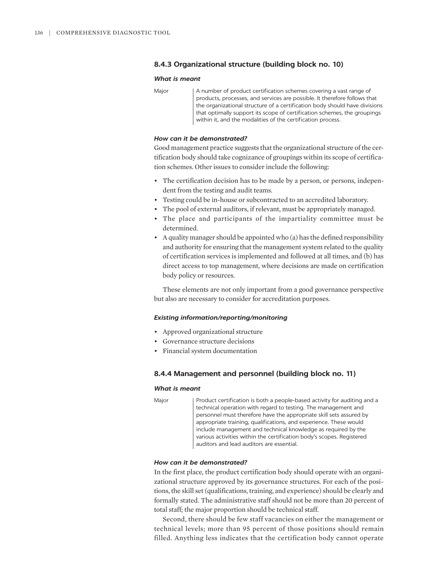# **8.4.3 Organizational structure (building block no. 10)**

#### *What is meant*

Major | A number of product certification schemes covering a vast range of products, processes, and services are possible. It therefore follows that the organizational structure of a certification body should have divisions that optimally support its scope of certification schemes, the groupings within it, and the modalities of the certification process.

# *How can it be demonstrated?*

Good management practice suggests that the organizational structure of the certification body should take cognizance of groupings within its scope of certification schemes. Other issues to consider include the following:

- The certification decision has to be made by a person, or persons, independent from the testing and audit teams.
- Testing could be in-house or subcontracted to an accredited laboratory.
- The pool of external auditors, if relevant, must be appropriately managed.
- The place and participants of the impartiality committee must be determined.
- A quality manager should be appointed who (a) has the defined responsibility and authority for ensuring that the management system related to the quality of certification services is implemented and followed at all times, and (b) has direct access to top management, where decisions are made on certification body policy or resources.

These elements are not only important from a good governance perspective but also are necessary to consider for accreditation purposes.

#### *Existing information/reporting/monitoring*

- Approved organizational structure
- Governance structure decisions
- Financial system documentation

# **8.4.4 Management and personnel (building block no. 11)**

#### *What is meant*

Major Product certification is both a people-based activity for auditing and a technical operation with regard to testing. The management and personnel must therefore have the appropriate skill sets assured by appropriate training, qualifications, and experience. These would include management and technical knowledge as required by the various activities within the certification body's scopes. Registered auditors and lead auditors are essential.

# *How can it be demonstrated?*

In the first place, the product certification body should operate with an organizational structure approved by its governance structures. For each of the positions, the skill set (qualifications, training, and experience) should be clearly and formally stated. The administrative staff should not be more than 20 percent of total staff; the major proportion should be technical staff.

Second, there should be few staff vacancies on either the management or technical levels; more than 95 percent of those positions should remain filled. Anything less indicates that the certification body cannot operate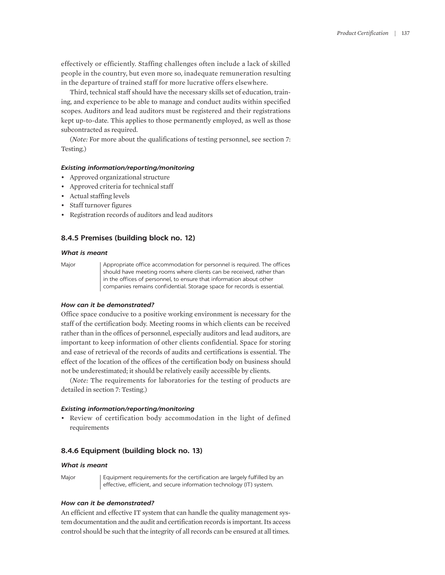effectively or efficiently. Staffing challenges often include a lack of skilled people in the country, but even more so, inadequate remuneration resulting in the departure of trained staff for more lucrative offers elsewhere.

Third, technical staff should have the necessary skills set of education, training, and experience to be able to manage and conduct audits within specified scopes. Auditors and lead auditors must be registered and their registrations kept up-to-date. This applies to those permanently employed, as well as those subcontracted as required.

(*Note:* For more about the qualifications of testing personnel, see section 7: Testing.)

# *Existing information/reporting/monitoring*

- Approved organizational structure
- Approved criteria for technical staff
- Actual staffing levels
- Staff turnover figures
- Registration records of auditors and lead auditors

# **8.4.5 Premises (building block no. 12)**

#### *What is meant*

Major | Appropriate office accommodation for personnel is required. The offices should have meeting rooms where clients can be received, rather than in the offices of personnel, to ensure that information about other companies remains confidential. Storage space for records is essential.

# *How can it be demonstrated?*

Office space conducive to a positive working environment is necessary for the staff of the certification body. Meeting rooms in which clients can be received rather than in the offices of personnel, especially auditors and lead auditors, are important to keep information of other clients confidential. Space for storing and ease of retrieval of the records of audits and certifications is essential. The effect of the location of the offices of the certification body on business should not be underestimated; it should be relatively easily accessible by clients.

(*Note:* The requirements for laboratories for the testing of products are detailed in section 7: Testing.)

# *Existing information/reporting/monitoring*

• Review of certification body accommodation in the light of defined requirements

# **8.4.6 Equipment (building block no. 13)**

#### *What is meant*

Major | Equipment requirements for the certification are largely fulfilled by an effective, efficient, and secure information technology (IT) system.

# *How can it be demonstrated?*

An efficient and effective IT system that can handle the quality management system documentation and the audit and certification records is important. Its access control should be such that the integrity of all records can be ensured at all times.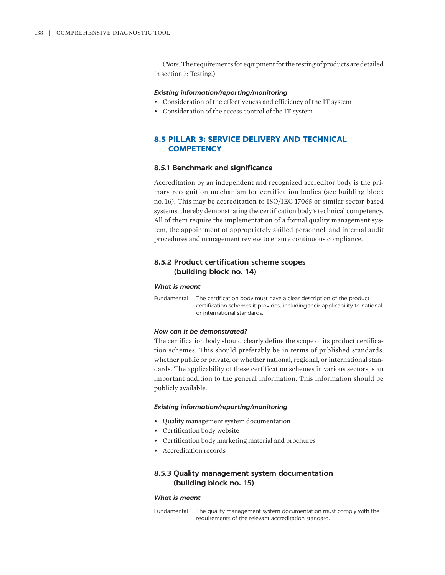(*Note:* The requirements for equipment for the testing of products are detailed in section 7: Testing.)

### *Existing information/reporting/monitoring*

- Consideration of the effectiveness and efficiency of the IT system
- Consideration of the access control of the IT system

# **8.5 PILLAR 3: SERVICE DELIVERY AND TECHNICAL COMPETENCY**

# **8.5.1 Benchmark and significance**

Accreditation by an independent and recognized accreditor body is the primary recognition mechanism for certification bodies (see building block no. 16). This may be accreditation to ISO/IEC 17065 or similar sector-based systems, thereby demonstrating the certification body's technical competency. All of them require the implementation of a formal quality management system, the appointment of appropriately skilled personnel, and internal audit procedures and management review to ensure continuous compliance.

# **8.5.2 Product certification scheme scopes (building block no. 14)**

# *What is meant*

Fundamental | The certification body must have a clear description of the product certification schemes it provides, including their applicability to national or international standards.

# *How can it be demonstrated?*

The certification body should clearly define the scope of its product certification schemes. This should preferably be in terms of published standards, whether public or private, or whether national, regional, or international standards. The applicability of these certification schemes in various sectors is an important addition to the general information. This information should be publicly available.

# *Existing information/reporting/monitoring*

- Quality management system documentation
- Certification body website
- Certification body marketing material and brochures
- Accreditation records

# **8.5.3 Quality management system documentation (building block no. 15)**

#### *What is meant*

Fundamental | The quality management system documentation must comply with the requirements of the relevant accreditation standard.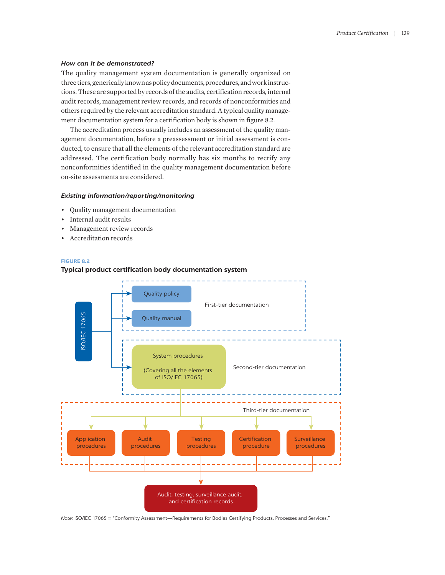#### *How can it be demonstrated?*

The quality management system documentation is generally organized on three tiers, generically known as policy documents, procedures, and work instructions. These are supported by records of the audits, certification records, internal audit records, management review records, and records of nonconformities and others required by the relevant accreditation standard. A typical quality management documentation system for a certification body is shown in figure 8.2.

The accreditation process usually includes an assessment of the quality management documentation, before a preassessment or initial assessment is conducted, to ensure that all the elements of the relevant accreditation standard are addressed. The certification body normally has six months to rectify any nonconformities identified in the quality management documentation before on-site assessments are considered.

# *Existing information/reporting/monitoring*

- Quality management documentation
- Internal audit results
- Management review records
- Accreditation records

# **FIGURE 8.2**



# **Typical product certification body documentation system**

*Note:* ISO/IEC 17065 = "Conformity Assessment—Requirements for Bodies Certifying Products, Processes and Services."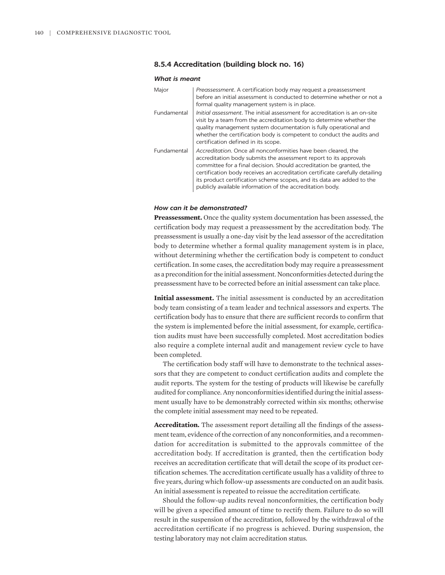# **8.5.4 Accreditation (building block no. 16)**

#### *What is meant*

| Major       | Preassessment. A certification body may request a preassessment<br>before an initial assessment is conducted to determine whether or not a<br>formal quality management system is in place.                                                                                                                                                                                                                                        |
|-------------|------------------------------------------------------------------------------------------------------------------------------------------------------------------------------------------------------------------------------------------------------------------------------------------------------------------------------------------------------------------------------------------------------------------------------------|
| Fundamental | <i>Initial assessment</i> . The initial assessment for accreditation is an on-site<br>visit by a team from the accreditation body to determine whether the<br>quality management system documentation is fully operational and<br>whether the certification body is competent to conduct the audits and<br>certification defined in its scope.                                                                                     |
| Fundamental | Accreditation. Once all nonconformities have been cleared, the<br>accreditation body submits the assessment report to its approvals<br>committee for a final decision. Should accreditation be granted, the<br>certification body receives an accreditation certificate carefully detailing<br>its product certification scheme scopes, and its data are added to the<br>publicly available information of the accreditation body. |

# *How can it be demonstrated?*

**Preassessment.** Once the quality system documentation has been assessed, the certification body may request a preassessment by the accreditation body. The preassessment is usually a one-day visit by the lead assessor of the accreditation body to determine whether a formal quality management system is in place, without determining whether the certification body is competent to conduct certification. In some cases, the accreditation body may require a preassessment as a precondition for the initial assessment. Nonconformities detected during the preassessment have to be corrected before an initial assessment can take place.

**Initial assessment.** The initial assessment is conducted by an accreditation body team consisting of a team leader and technical assessors and experts. The certification body has to ensure that there are sufficient records to confirm that the system is implemented before the initial assessment, for example, certification audits must have been successfully completed. Most accreditation bodies also require a complete internal audit and management review cycle to have been completed.

The certification body staff will have to demonstrate to the technical assessors that they are competent to conduct certification audits and complete the audit reports. The system for the testing of products will likewise be carefully audited for compliance. Any nonconformities identified during the initial assessment usually have to be demonstrably corrected within six months; otherwise the complete initial assessment may need to be repeated.

**Accreditation.** The assessment report detailing all the findings of the assessment team, evidence of the correction of any nonconformities, and a recommendation for accreditation is submitted to the approvals committee of the accreditation body. If accreditation is granted, then the certification body receives an accreditation certificate that will detail the scope of its product certification schemes. The accreditation certificate usually has a validity of three to five years, during which follow-up assessments are conducted on an audit basis. An initial assessment is repeated to reissue the accreditation certificate.

Should the follow-up audits reveal nonconformities, the certification body will be given a specified amount of time to rectify them. Failure to do so will result in the suspension of the accreditation, followed by the withdrawal of the accreditation certificate if no progress is achieved. During suspension, the testing laboratory may not claim accreditation status.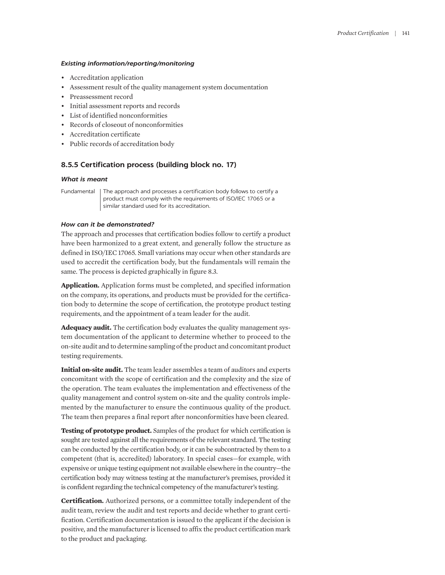# *Existing information/reporting/monitoring*

- Accreditation application
- Assessment result of the quality management system documentation
- Preassessment record
- Initial assessment reports and records
- List of identified nonconformities
- Records of closeout of nonconformities
- Accreditation certificate
- Public records of accreditation body

# **8.5.5 Certification process (building block no. 17)**

# *What is meant*

Fundamental | The approach and processes a certification body follows to certify a product must comply with the requirements of ISO/IEC 17065 or a similar standard used for its accreditation.

# *How can it be demonstrated?*

The approach and processes that certification bodies follow to certify a product have been harmonized to a great extent, and generally follow the structure as defined in ISO/IEC 17065. Small variations may occur when other standards are used to accredit the certification body, but the fundamentals will remain the same. The process is depicted graphically in figure 8.3.

**Application.** Application forms must be completed, and specified information on the company, its operations, and products must be provided for the certification body to determine the scope of certification, the prototype product testing requirements, and the appointment of a team leader for the audit.

**Adequacy audit.** The certification body evaluates the quality management system documentation of the applicant to determine whether to proceed to the on-site audit and to determine sampling of the product and concomitant product testing requirements.

**Initial on-site audit.** The team leader assembles a team of auditors and experts concomitant with the scope of certification and the complexity and the size of the operation. The team evaluates the implementation and effectiveness of the quality management and control system on-site and the quality controls implemented by the manufacturer to ensure the continuous quality of the product. The team then prepares a final report after nonconformities have been cleared.

**Testing of prototype product.** Samples of the product for which certification is sought are tested against all the requirements of the relevant standard. The testing can be conducted by the certification body, or it can be subcontracted by them to a competent (that is, accredited) laboratory. In special cases—for example, with expensive or unique testing equipment not available elsewhere in the country—the certification body may witness testing at the manufacturer's premises, provided it is confident regarding the technical competency of the manufacturer's testing.

**Certification.** Authorized persons, or a committee totally independent of the audit team, review the audit and test reports and decide whether to grant certification. Certification documentation is issued to the applicant if the decision is positive, and the manufacturer is licensed to affix the product certification mark to the product and packaging.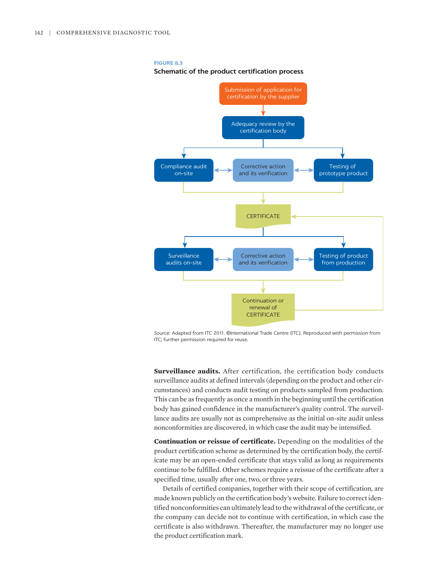#### **FIGURE 8.3**

**Schematic of the product certification process**



*Source:* Adapted from ITC 2011. ©International Trade Centre (ITC). Reproduced with permission from ITC; further permission required for reuse.

**Surveillance audits.** After certification, the certification body conducts surveillance audits at defined intervals (depending on the product and other circumstances) and conducts audit testing on products sampled from production. This can be as frequently as once a month in the beginning until the certification body has gained confidence in the manufacturer's quality control. The surveillance audits are usually not as comprehensive as the initial on-site audit unless nonconformities are discovered, in which case the audit may be intensified.

**Continuation or reissue of certificate.** Depending on the modalities of the product certification scheme as determined by the certification body, the certificate may be an open-ended certificate that stays valid as long as requirements continue to be fulfilled. Other schemes require a reissue of the certificate after a specified time, usually after one, two, or three years.

Details of certified companies, together with their scope of certification, are made known publicly on the certification body's website. Failure to correct identified nonconformities can ultimately lead to the withdrawal of the certificate, or the company can decide not to continue with certification, in which case the certificate is also withdrawn. Thereafter, the manufacturer may no longer use the product certification mark.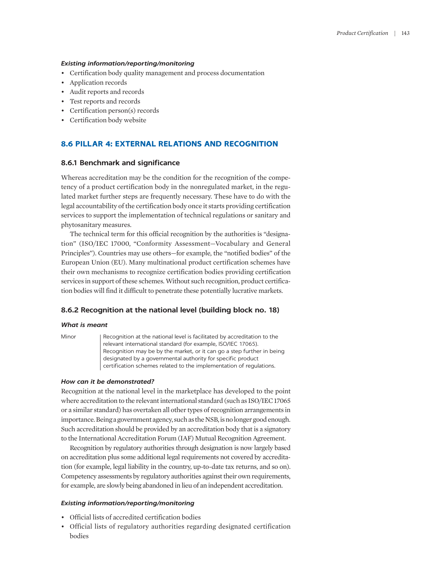# *Existing information/reporting/monitoring*

- Certification body quality management and process documentation
- Application records
- Audit reports and records
- Test reports and records
- Certification person(s) records
- Certification body website

# **8.6 PILLAR 4: EXTERNAL RELATIONS AND RECOGNITION**

# **8.6.1 Benchmark and significance**

Whereas accreditation may be the condition for the recognition of the competency of a product certification body in the nonregulated market, in the regulated market further steps are frequently necessary. These have to do with the legal accountability of the certification body once it starts providing certification services to support the implementation of technical regulations or sanitary and phytosanitary measures.

The technical term for this official recognition by the authorities is "designation" (ISO/IEC 17000, "Conformity Assessment—Vocabulary and General Principles"). Countries may use others—for example, the "notified bodies" of the European Union (EU). Many multinational product certification schemes have their own mechanisms to recognize certification bodies providing certification services in support of these schemes. Without such recognition, product certification bodies will find it difficult to penetrate these potentially lucrative markets.

# **8.6.2 Recognition at the national level (building block no. 18)**

#### *What is meant*

Minor Recognition at the national level is facilitated by accreditation to the relevant international standard (for example, ISO/IEC 17065). Recognition may be by the market, or it can go a step further in being designated by a governmental authority for specific product certification schemes related to the implementation of regulations.

#### *How can it be demonstrated?*

Recognition at the national level in the marketplace has developed to the point where accreditation to the relevant international standard (such as ISO/IEC 17065 or a similar standard) has overtaken all other types of recognition arrangements in importance. Being a government agency, such as the NSB, is no longer good enough. Such accreditation should be provided by an accreditation body that is a signatory to the International Accreditation Forum (IAF) Mutual Recognition Agreement.

Recognition by regulatory authorities through designation is now largely based on accreditation plus some additional legal requirements not covered by accreditation (for example, legal liability in the country, up-to-date tax returns, and so on). Competency assessments by regulatory authorities against their own requirements, for example, are slowly being abandoned in lieu of an independent accreditation.

#### *Existing information/reporting/monitoring*

- Official lists of accredited certification bodies
- Official lists of regulatory authorities regarding designated certification bodies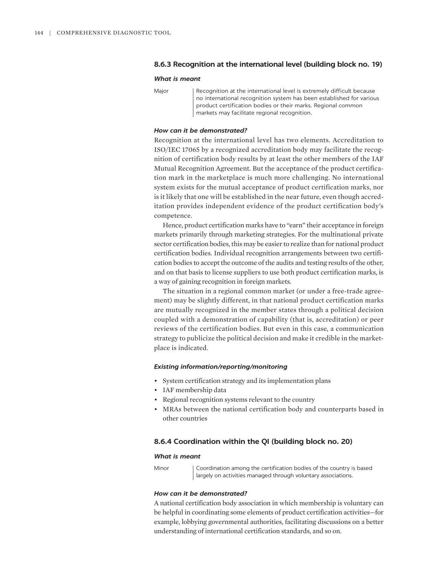# **8.6.3 Recognition at the international level (building block no. 19)**

#### *What is meant*

Major | Recognition at the international level is extremely difficult because no international recognition system has been established for various product certification bodies or their marks. Regional common markets may facilitate regional recognition.

# *How can it be demonstrated?*

Recognition at the international level has two elements. Accreditation to ISO/IEC 17065 by a recognized accreditation body may facilitate the recognition of certification body results by at least the other members of the IAF Mutual Recognition Agreement. But the acceptance of the product certification mark in the marketplace is much more challenging. No international system exists for the mutual acceptance of product certification marks, nor is it likely that one will be established in the near future, even though accreditation provides independent evidence of the product certification body's competence.

Hence, product certification marks have to "earn" their acceptance in foreign markets primarily through marketing strategies. For the multinational private sector certification bodies, this may be easier to realize than for national product certification bodies. Individual recognition arrangements between two certification bodies to accept the outcome of the audits and testing results of the other, and on that basis to license suppliers to use both product certification marks, is a way of gaining recognition in foreign markets.

The situation in a regional common market (or under a free-trade agreement) may be slightly different, in that national product certification marks are mutually recognized in the member states through a political decision coupled with a demonstration of capability (that is, accreditation) or peer reviews of the certification bodies. But even in this case, a communication strategy to publicize the political decision and make it credible in the marketplace is indicated.

# *Existing information/reporting/monitoring*

- System certification strategy and its implementation plans
- IAF membership data
- Regional recognition systems relevant to the country
- MRAs between the national certification body and counterparts based in other countries

# **8.6.4 Coordination within the QI (building block no. 20)**

#### *What is meant*

Minor | Coordination among the certification bodies of the country is based largely on activities managed through voluntary associations.

# *How can it be demonstrated?*

A national certification body association in which membership is voluntary can be helpful in coordinating some elements of product certification activities—for example, lobbying governmental authorities, facilitating discussions on a better understanding of international certification standards, and so on.